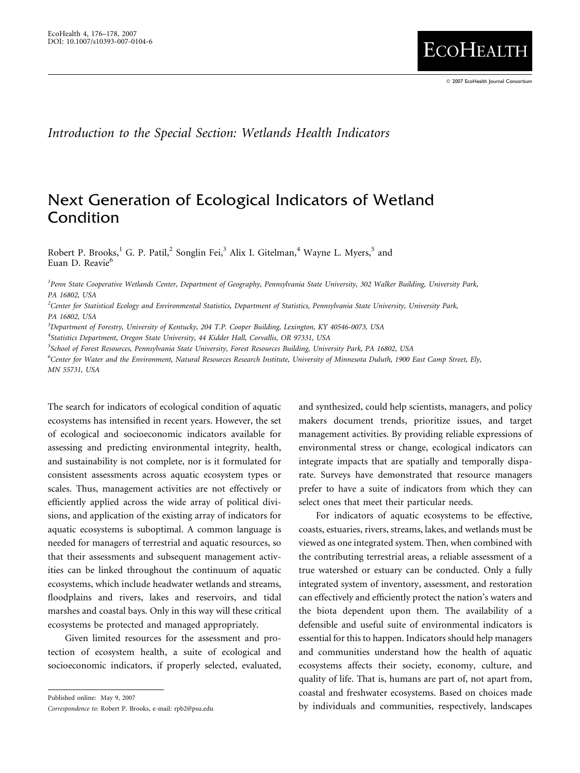**ECOHEALTH** 

Introduction to the Special Section: Wetlands Health Indicators

## Next Generation of Ecological Indicators of Wetland Condition

Robert P. Brooks,<sup>1</sup> G. P. Patil,<sup>2</sup> Songlin Fei,<sup>3</sup> Alix I. Gitelman,<sup>4</sup> Wayne L. Myers,<sup>5</sup> and Euan D. Reavie<sup>6</sup>

<sup>1</sup> Penn State Cooperative Wetlands Center, Department of Geography, Pennsylvania State University, 302 Walker Building, University Park, PA 16802, USA

2 Center for Statistical Ecology and Environmental Statistics, Department of Statistics, Pennsylvania State University, University Park, PA 16802, USA

<sup>3</sup>Department of Forestry, University of Kentucky, 204 T.P. Cooper Building, Lexington, KY 40546-0073, USA

<sup>4</sup>Statistics Department, Oregon State University, 44 Kidder Hall, Corvallis, OR 97331, USA

5 School of Forest Resources, Pennsylvania State University, Forest Resources Building, University Park, PA 16802, USA

6 Center for Water and the Environment, Natural Resources Research Institute, University of Minnesota Duluth, 1900 East Camp Street, Ely, MN 55731, USA

The search for indicators of ecological condition of aquatic ecosystems has intensified in recent years. However, the set of ecological and socioeconomic indicators available for assessing and predicting environmental integrity, health, and sustainability is not complete, nor is it formulated for consistent assessments across aquatic ecosystem types or scales. Thus, management activities are not effectively or efficiently applied across the wide array of political divisions, and application of the existing array of indicators for aquatic ecosystems is suboptimal. A common language is needed for managers of terrestrial and aquatic resources, so that their assessments and subsequent management activities can be linked throughout the continuum of aquatic ecosystems, which include headwater wetlands and streams, floodplains and rivers, lakes and reservoirs, and tidal marshes and coastal bays. Only in this way will these critical ecosystems be protected and managed appropriately.

Given limited resources for the assessment and protection of ecosystem health, a suite of ecological and socioeconomic indicators, if properly selected, evaluated,

Published online: May 9, 2007

Correspondence to: Robert P. Brooks, e-mail: rpb2@psu.edu

and synthesized, could help scientists, managers, and policy makers document trends, prioritize issues, and target management activities. By providing reliable expressions of environmental stress or change, ecological indicators can integrate impacts that are spatially and temporally disparate. Surveys have demonstrated that resource managers prefer to have a suite of indicators from which they can select ones that meet their particular needs.

For indicators of aquatic ecosystems to be effective, coasts, estuaries, rivers, streams, lakes, and wetlands must be viewed as one integrated system. Then, when combined with the contributing terrestrial areas, a reliable assessment of a true watershed or estuary can be conducted. Only a fully integrated system of inventory, assessment, and restoration can effectively and efficiently protect the nation's waters and the biota dependent upon them. The availability of a defensible and useful suite of environmental indicators is essential for this to happen. Indicators should help managers and communities understand how the health of aquatic ecosystems affects their society, economy, culture, and quality of life. That is, humans are part of, not apart from, coastal and freshwater ecosystems. Based on choices made by individuals and communities, respectively, landscapes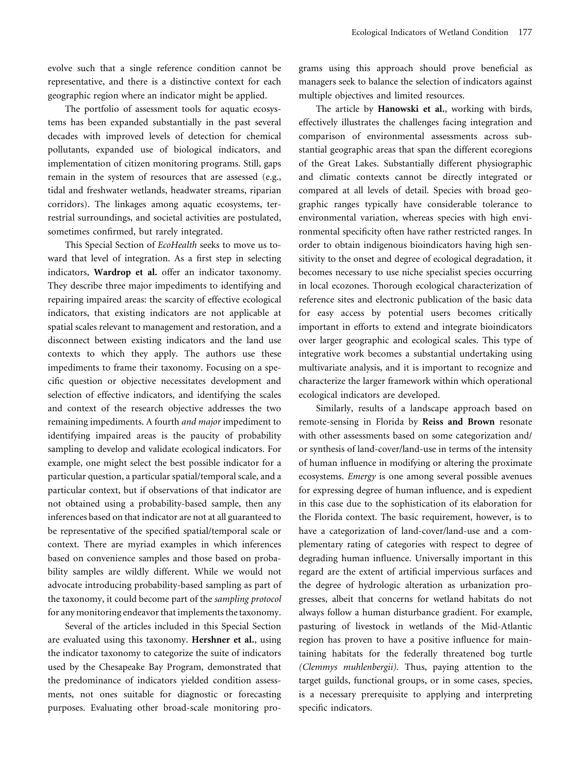evolve such that a single reference condition cannot be representative, and there is a distinctive context for each geographic region where an indicator might be applied.

The portfolio of assessment tools for aquatic ecosystems has been expanded substantially in the past several decades with improved levels of detection for chemical pollutants, expanded use of biological indicators, and implementation of citizen monitoring programs. Still, gaps remain in the system of resources that are assessed (e.g., tidal and freshwater wetlands, headwater streams, riparian corridors). The linkages among aquatic ecosystems, terrestrial surroundings, and societal activities are postulated, sometimes confirmed, but rarely integrated.

This Special Section of EcoHealth seeks to move us toward that level of integration. As a first step in selecting indicators, Wardrop et al. offer an indicator taxonomy. They describe three major impediments to identifying and repairing impaired areas: the scarcity of effective ecological indicators, that existing indicators are not applicable at spatial scales relevant to management and restoration, and a disconnect between existing indicators and the land use contexts to which they apply. The authors use these impediments to frame their taxonomy. Focusing on a specific question or objective necessitates development and selection of effective indicators, and identifying the scales and context of the research objective addresses the two remaining impediments. A fourth and major impediment to identifying impaired areas is the paucity of probability sampling to develop and validate ecological indicators. For example, one might select the best possible indicator for a particular question, a particular spatial/temporal scale, and a particular context, but if observations of that indicator are not obtained using a probability-based sample, then any inferences based on that indicator are not at all guaranteed to be representative of the specified spatial/temporal scale or context. There are myriad examples in which inferences based on convenience samples and those based on probability samples are wildly different. While we would not advocate introducing probability-based sampling as part of the taxonomy, it could become part of the sampling protocol for any monitoring endeavor that implements the taxonomy.

Several of the articles included in this Special Section are evaluated using this taxonomy. Hershner et al., using the indicator taxonomy to categorize the suite of indicators used by the Chesapeake Bay Program, demonstrated that the predominance of indicators yielded condition assessments, not ones suitable for diagnostic or forecasting purposes. Evaluating other broad-scale monitoring programs using this approach should prove beneficial as managers seek to balance the selection of indicators against multiple objectives and limited resources.

The article by Hanowski et al., working with birds, effectively illustrates the challenges facing integration and comparison of environmental assessments across substantial geographic areas that span the different ecoregions of the Great Lakes. Substantially different physiographic and climatic contexts cannot be directly integrated or compared at all levels of detail. Species with broad geographic ranges typically have considerable tolerance to environmental variation, whereas species with high environmental specificity often have rather restricted ranges. In order to obtain indigenous bioindicators having high sensitivity to the onset and degree of ecological degradation, it becomes necessary to use niche specialist species occurring in local ecozones. Thorough ecological characterization of reference sites and electronic publication of the basic data for easy access by potential users becomes critically important in efforts to extend and integrate bioindicators over larger geographic and ecological scales. This type of integrative work becomes a substantial undertaking using multivariate analysis, and it is important to recognize and characterize the larger framework within which operational ecological indicators are developed.

Similarly, results of a landscape approach based on remote-sensing in Florida by Reiss and Brown resonate with other assessments based on some categorization and/ or synthesis of land-cover/land-use in terms of the intensity of human influence in modifying or altering the proximate ecosystems. Emergy is one among several possible avenues for expressing degree of human influence, and is expedient in this case due to the sophistication of its elaboration for the Florida context. The basic requirement, however, is to have a categorization of land-cover/land-use and a complementary rating of categories with respect to degree of degrading human influence. Universally important in this regard are the extent of artificial impervious surfaces and the degree of hydrologic alteration as urbanization progresses, albeit that concerns for wetland habitats do not always follow a human disturbance gradient. For example, pasturing of livestock in wetlands of the Mid-Atlantic region has proven to have a positive influence for maintaining habitats for the federally threatened bog turtle (Clemmys muhlenbergii). Thus, paying attention to the target guilds, functional groups, or in some cases, species, is a necessary prerequisite to applying and interpreting specific indicators.